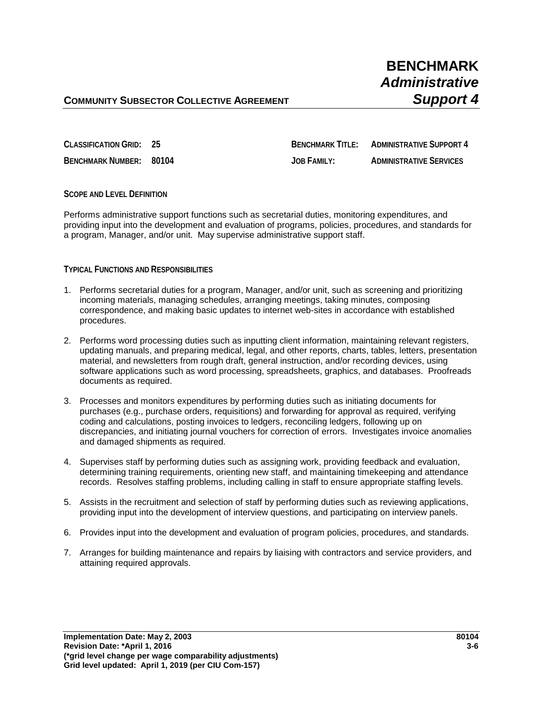## **COMMUNITY SUBSECTOR COLLECTIVE AGREEMENT <b>SUPPORT A**

**CLASSIFICATION GRID: 25 BENCHMARK TITLE: ADMINISTRATIVE SUPPORT 4**

**BENCHMARK NUMBER: 80104 JOB FAMILY: ADMINISTRATIVE SERVICES**

### **SCOPE AND LEVEL DEFINITION**

Performs administrative support functions such as secretarial duties, monitoring expenditures, and providing input into the development and evaluation of programs, policies, procedures, and standards for a program, Manager, and/or unit. May supervise administrative support staff.

#### **TYPICAL FUNCTIONS AND RESPONSIBILITIES**

- 1. Performs secretarial duties for a program, Manager, and/or unit, such as screening and prioritizing incoming materials, managing schedules, arranging meetings, taking minutes, composing correspondence, and making basic updates to internet web-sites in accordance with established procedures.
- 2. Performs word processing duties such as inputting client information, maintaining relevant registers, updating manuals, and preparing medical, legal, and other reports, charts, tables, letters, presentation material, and newsletters from rough draft, general instruction, and/or recording devices, using software applications such as word processing, spreadsheets, graphics, and databases. Proofreads documents as required.
- 3. Processes and monitors expenditures by performing duties such as initiating documents for purchases (e.g., purchase orders, requisitions) and forwarding for approval as required, verifying coding and calculations, posting invoices to ledgers, reconciling ledgers, following up on discrepancies, and initiating journal vouchers for correction of errors. Investigates invoice anomalies and damaged shipments as required.
- 4. Supervises staff by performing duties such as assigning work, providing feedback and evaluation, determining training requirements, orienting new staff, and maintaining timekeeping and attendance records. Resolves staffing problems, including calling in staff to ensure appropriate staffing levels.
- 5. Assists in the recruitment and selection of staff by performing duties such as reviewing applications, providing input into the development of interview questions, and participating on interview panels.
- 6. Provides input into the development and evaluation of program policies, procedures, and standards.
- 7. Arranges for building maintenance and repairs by liaising with contractors and service providers, and attaining required approvals.